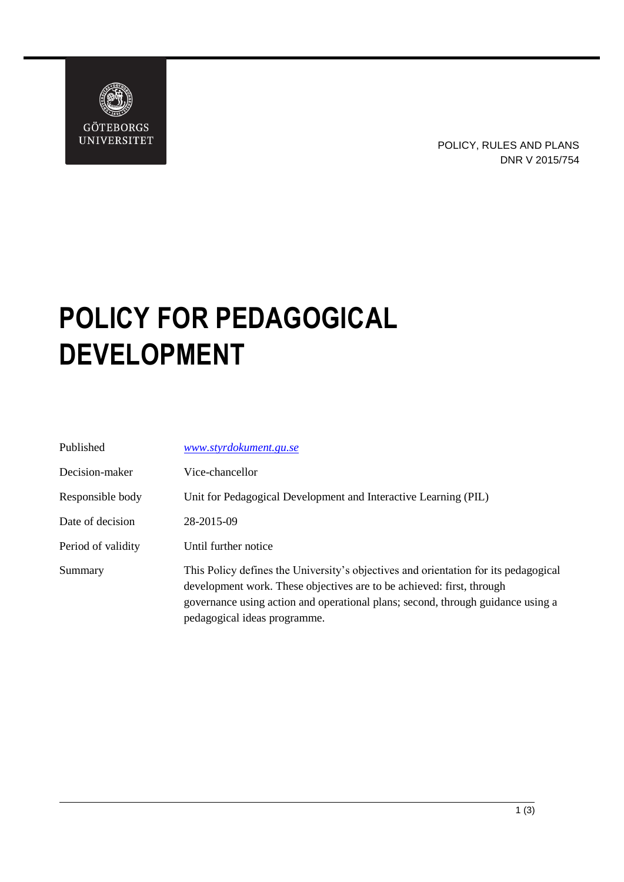

## **POLICY FOR PEDAGOGICAL DEVELOPMENT**

| Published          | www.styrdokument.gu.se                                                                                                                                                                                                                                                          |
|--------------------|---------------------------------------------------------------------------------------------------------------------------------------------------------------------------------------------------------------------------------------------------------------------------------|
| Decision-maker     | Vice-chancellor                                                                                                                                                                                                                                                                 |
| Responsible body   | Unit for Pedagogical Development and Interactive Learning (PIL)                                                                                                                                                                                                                 |
| Date of decision   | 28-2015-09                                                                                                                                                                                                                                                                      |
| Period of validity | Until further notice                                                                                                                                                                                                                                                            |
| Summary            | This Policy defines the University's objectives and orientation for its pedagogical<br>development work. These objectives are to be achieved: first, through<br>governance using action and operational plans; second, through guidance using a<br>pedagogical ideas programme. |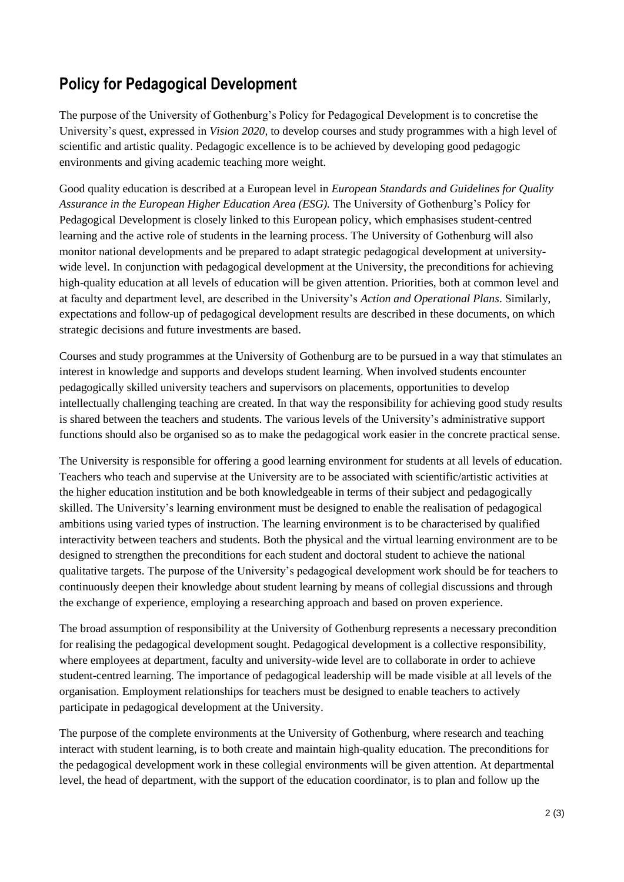## **Policy for Pedagogical Development**

The purpose of the University of Gothenburg's Policy for Pedagogical Development is to concretise the University's quest, expressed in *Vision 2020*, to develop courses and study programmes with a high level of scientific and artistic quality. Pedagogic excellence is to be achieved by developing good pedagogic environments and giving academic teaching more weight.

Good quality education is described at a European level in *European Standards and Guidelines for Quality Assurance in the European Higher Education Area (ESG).* The University of Gothenburg's Policy for Pedagogical Development is closely linked to this European policy, which emphasises student-centred learning and the active role of students in the learning process. The University of Gothenburg will also monitor national developments and be prepared to adapt strategic pedagogical development at universitywide level. In conjunction with pedagogical development at the University, the preconditions for achieving high-quality education at all levels of education will be given attention. Priorities, both at common level and at faculty and department level, are described in the University's *Action and Operational Plans*. Similarly, expectations and follow-up of pedagogical development results are described in these documents, on which strategic decisions and future investments are based.

Courses and study programmes at the University of Gothenburg are to be pursued in a way that stimulates an interest in knowledge and supports and develops student learning. When involved students encounter pedagogically skilled university teachers and supervisors on placements, opportunities to develop intellectually challenging teaching are created. In that way the responsibility for achieving good study results is shared between the teachers and students. The various levels of the University's administrative support functions should also be organised so as to make the pedagogical work easier in the concrete practical sense.

The University is responsible for offering a good learning environment for students at all levels of education. Teachers who teach and supervise at the University are to be associated with scientific/artistic activities at the higher education institution and be both knowledgeable in terms of their subject and pedagogically skilled. The University's learning environment must be designed to enable the realisation of pedagogical ambitions using varied types of instruction. The learning environment is to be characterised by qualified interactivity between teachers and students. Both the physical and the virtual learning environment are to be designed to strengthen the preconditions for each student and doctoral student to achieve the national qualitative targets. The purpose of the University's pedagogical development work should be for teachers to continuously deepen their knowledge about student learning by means of collegial discussions and through the exchange of experience, employing a researching approach and based on proven experience.

The broad assumption of responsibility at the University of Gothenburg represents a necessary precondition for realising the pedagogical development sought. Pedagogical development is a collective responsibility, where employees at department, faculty and university-wide level are to collaborate in order to achieve student-centred learning. The importance of pedagogical leadership will be made visible at all levels of the organisation. Employment relationships for teachers must be designed to enable teachers to actively participate in pedagogical development at the University.

The purpose of the complete environments at the University of Gothenburg, where research and teaching interact with student learning, is to both create and maintain high-quality education. The preconditions for the pedagogical development work in these collegial environments will be given attention. At departmental level, the head of department, with the support of the education coordinator, is to plan and follow up the